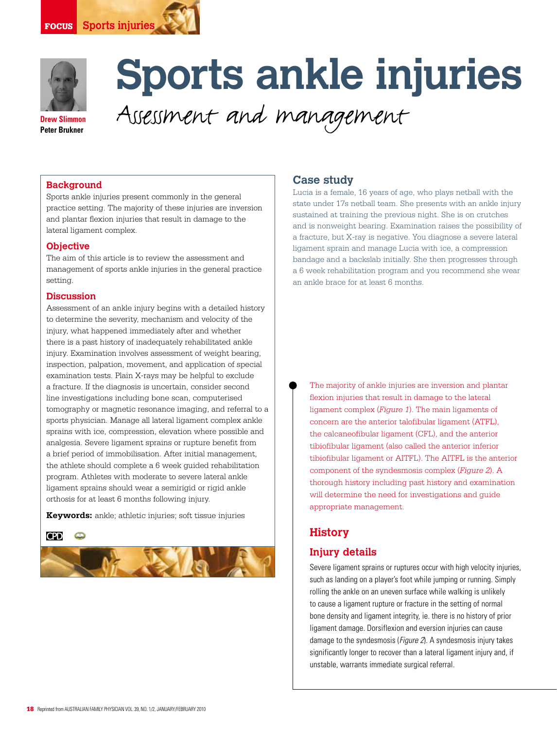



# **Sports ankle injuries**

**Drew Slimmon Peter Brukner**

Assessment and management

## **Background**

Sports ankle injuries present commonly in the general practice setting. The majority of these injuries are inversion and plantar flexion injuries that result in damage to the lateral ligament complex.

#### **Objective**

The aim of this article is to review the assessment and management of sports ankle injuries in the general practice setting.

#### **Discussion**

Assessment of an ankle injury begins with a detailed history to determine the severity, mechanism and velocity of the injury, what happened immediately after and whether there is a past history of inadequately rehabilitated ankle injury. Examination involves assessment of weight bearing, inspection, palpation, movement, and application of special examination tests. Plain X-rays may be helpful to exclude a fracture. If the diagnosis is uncertain, consider second line investigations including bone scan, computerised tomography or magnetic resonance imaging, and referral to a sports physician. Manage all lateral ligament complex ankle sprains with ice, compression, elevation where possible and analgesia. Severe ligament sprains or rupture benefit from a brief period of immobilisation. After initial management, the athlete should complete a 6 week guided rehabilitation program. Athletes with moderate to severe lateral ankle ligament sprains should wear a semirigid or rigid ankle orthosis for at least 6 months following injury.

**Keywords:** ankle; athletic injuries; soft tissue injuries





## **Case study**

Lucia is a female, 16 years of age, who plays netball with the state under 17s netball team. She presents with an ankle injury sustained at training the previous night. She is on crutches and is nonweight bearing. Examination raises the possibility of a fracture, but X-ray is negative. You diagnose a severe lateral ligament sprain and manage Lucia with ice, a compression bandage and a backslab initially. She then progresses through a 6 week rehabilitation program and you recommend she wear an ankle brace for at least 6 months.

The majority of ankle injuries are inversion and plantar flexion injuries that result in damage to the lateral ligament complex (*Figure 1*). The main ligaments of concern are the anterior talofibular ligament (ATFL), the calcaneofibular ligament (CFL), and the anterior tibiofibular ligament (also called the anterior inferior tibiofibular ligament or AITFL). The AITFL is the anterior component of the syndesmosis complex (*Figure 2*). A thorough history including past history and examination will determine the need for investigations and guide appropriate management.

## **History**

## **Injury details**

Severe ligament sprains or ruptures occur with high velocity injuries, such as landing on a player's foot while jumping or running. Simply rolling the ankle on an uneven surface while walking is unlikely to cause a ligament rupture or fracture in the setting of normal bone density and ligament integrity, ie. there is no history of prior ligament damage. Dorsiflexion and eversion injuries can cause damage to the syndesmosis (Figure 2). A syndesmosis injury takes significantly longer to recover than a lateral ligament injury and, if unstable, warrants immediate surgical referral.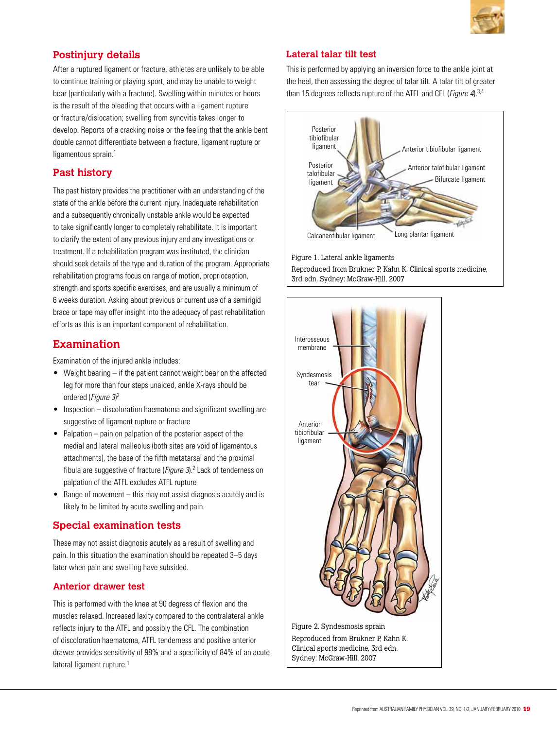

# **Postinjury details**

After a ruptured ligament or fracture, athletes are unlikely to be able to continue training or playing sport, and may be unable to weight bear (particularly with a fracture). Swelling within minutes or hours is the result of the bleeding that occurs with a ligament rupture or fracture/dislocation; swelling from synovitis takes longer to develop. Reports of a cracking noise or the feeling that the ankle bent double cannot differentiate between a fracture, ligament rupture or ligamentous sprain.<sup>1</sup>

## **Past history**

The past history provides the practitioner with an understanding of the state of the ankle before the current injury. Inadequate rehabilitation and a subsequently chronically unstable ankle would be expected to take significantly longer to completely rehabilitate. It is important to clarify the extent of any previous injury and any investigations or treatment. If a rehabilitation program was instituted, the clinician should seek details of the type and duration of the program. Appropriate rehabilitation programs focus on range of motion, proprioception, strength and sports specific exercises, and are usually a minimum of 6 weeks duration. Asking about previous or current use of a semirigid brace or tape may offer insight into the adequacy of past rehabilitation efforts as this is an important component of rehabilitation.

# **Examination**

Examination of the injured ankle includes:

- Weight bearing if the patient cannot weight bear on the affected leg for more than four steps unaided, ankle X-rays should be ordered (Figure 3)<sup>2</sup>
- Inspection discoloration haematoma and significant swelling are suggestive of ligament rupture or fracture
- $\bullet$  Palpation pain on palpation of the posterior aspect of the medial and lateral malleolus (both sites are void of ligamentous attachments), the base of the fifth metatarsal and the proximal fibula are suggestive of fracture (*Figure 3*).<sup>2</sup> Lack of tenderness on palpation of the ATFL excludes ATFL rupture
- Range of movement  $-$  this may not assist diagnosis acutely and is likely to be limited by acute swelling and pain.

## **Special examination tests**

These may not assist diagnosis acutely as a result of swelling and pain. In this situation the examination should be repeated 3–5 days later when pain and swelling have subsided.

## **Anterior drawer test**

This is performed with the knee at 90 degress of flexion and the muscles relaxed. Increased laxity compared to the contralateral ankle reflects injury to the ATFL and possibly the CFL. The combination of discoloration haematoma, ATFL tenderness and positive anterior drawer provides sensitivity of 98% and a specificity of 84% of an acute lateral ligament rupture.<sup>1</sup>

## **Lateral talar tilt test**

This is performed by applying an inversion force to the ankle joint at the heel, then assessing the degree of talar tilt. A talar tilt of greater than 15 degrees reflects rupture of the ATFL and CFL (*Figure 4*).<sup>3,4</sup>



Figure 1. Lateral ankle ligaments Reproduced from Brukner P, Kahn K. Clinical sports medicine, 3rd edn. Sydney: McGraw-Hill, 2007

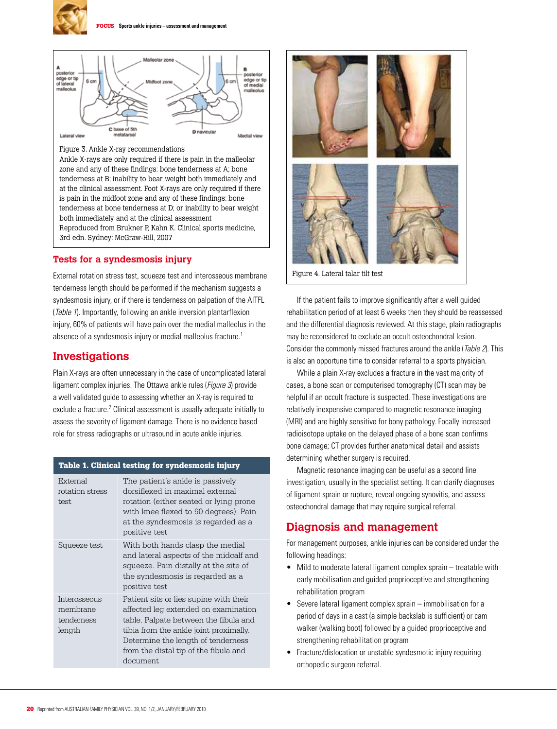



Ankle X-rays are only required if there is pain in the malleolar zone and any of these findings: bone tenderness at A; bone tenderness at B; inability to bear weight both immediately and at the clinical assessment. Foot X-rays are only required if there is pain in the midfoot zone and any of these findings: bone tenderness at bone tenderness at D; or inability to bear weight both immediately and at the clinical assessment Reproduced from Brukner P, Kahn K. Clinical sports medicine, 3rd edn. Sydney: McGraw-Hill, 2007

### **Tests for a syndesmosis injury**

External rotation stress test, squeeze test and interosseous membrane tenderness length should be performed if the mechanism suggests a syndesmosis injury, or if there is tenderness on palpation of the AITFL (Table 1). Importantly, following an ankle inversion plantarflexion injury, 60% of patients will have pain over the medial malleolus in the absence of a syndesmosis injury or medial malleolus fracture.<sup>1</sup>

## **Investigations**

Plain X-rays are often unnecessary in the case of uncomplicated lateral ligament complex injuries. The Ottawa ankle rules (*Figure 3*) provide a well validated guide to assessing whether an X-ray is required to exclude a fracture.<sup>2</sup> Clinical assessment is usually adequate initially to assess the severity of ligament damage. There is no evidence based role for stress radiographs or ultrasound in acute ankle injuries.

#### Table 1. Clinical testing for syndesmosis injury

| External<br>rotation stress<br>test.             | The patient's ankle is passively<br>dorsiflexed in maximal external<br>rotation (either seated or lying prone<br>with knee flexed to 90 degrees). Pain<br>at the syndesmosis is regarded as a<br>positive test                                               |
|--------------------------------------------------|--------------------------------------------------------------------------------------------------------------------------------------------------------------------------------------------------------------------------------------------------------------|
| Squeeze test                                     | With both hands clasp the medial<br>and lateral aspects of the midcalf and<br>squeeze. Pain distally at the site of<br>the syndesmosis is regarded as a<br>positive test                                                                                     |
| Interosseous<br>membrane<br>tenderness<br>length | Patient sits or lies supine with their<br>affected leg extended on examination<br>table. Palpate between the fibula and<br>tibia from the ankle joint proximally.<br>Determine the length of tenderness<br>from the distal tip of the fibula and<br>document |



Figure 4. Lateral talar tilt test

 If the patient fails to improve significantly after a well guided rehabilitation period of at least 6 weeks then they should be reassessed and the differential diagnosis reviewed. At this stage, plain radiographs may be reconsidered to exclude an occult osteochondral lesion. Consider the commonly missed fractures around the ankle (Table 2). This is also an opportune time to consider referral to a sports physician.

 While a plain X-ray excludes a fracture in the vast majority of cases, a bone scan or computerised tomography (CT) scan may be helpful if an occult fracture is suspected. These investigations are relatively inexpensive compared to magnetic resonance imaging (MRI) and are highly sensitive for bony pathology. Focally increased radioisotope uptake on the delayed phase of a bone scan confirms bone damage; CT provides further anatomical detail and assists determining whether surgery is required.

 Magnetic resonance imaging can be useful as a second line investigation, usually in the specialist setting. It can clarify diagnoses of ligament sprain or rupture, reveal ongoing synovitis, and assess osteochondral damage that may require surgical referral.

## **Diagnosis and management**

For management purposes, ankle injuries can be considered under the following headings:

- Mild to moderate lateral ligament complex sprain treatable with early mobilisation and guided proprioceptive and strengthening rehabilitation program
- Severe lateral ligament complex sprain immobilisation for a period of days in a cast (a simple backslab is sufficient) or cam walker (walking boot) followed by a guided proprioceptive and strengthening rehabilitation program
- Fracture/dislocation or unstable syndesmotic injury requiring orthopedic surgeon referral.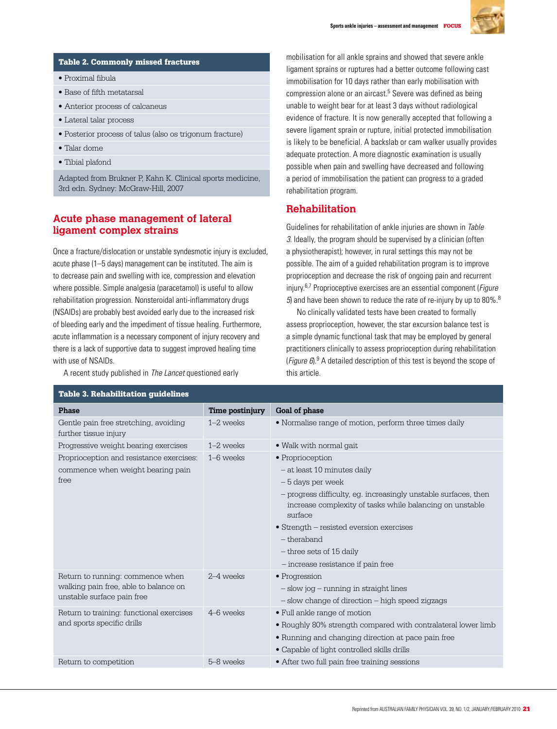

#### Table 2. Commonly missed fractures

- Proximal fibula
- Base of fifth metatarsal
- Anterior process of calcaneus
- Lateral talar process
- Posterior process of talus (also os trigonum fracture)
- Talar dome
- Tibial plafond

Adapted from Brukner P, Kahn K. Clinical sports medicine, 3rd edn. Sydney: McGraw-Hill, 2007

## **Acute phase management of lateral ligament complex strains**

Once a fracture/dislocation or unstable syndesmotic injury is excluded, acute phase (1–5 days) management can be instituted. The aim is to decrease pain and swelling with ice, compression and elevation where possible. Simple analgesia (paracetamol) is useful to allow rehabilitation progression. Nonsteroidal anti-inflammatory drugs (NSAIDs) are probably best avoided early due to the increased risk of bleeding early and the impediment of tissue healing. Furthermore, acute inflammation is a necessary component of injury recovery and there is a lack of supportive data to suggest improved healing time with use of NSAIDs.

A recent study published in The Lancet questioned early

mobilisation for all ankle sprains and showed that severe ankle ligament sprains or ruptures had a better outcome following cast immobilisation for 10 days rather than early mobilisation with compression alone or an aircast.<sup>5</sup> Severe was defined as being unable to weight bear for at least 3 days without radiological evidence of fracture. It is now generally accepted that following a severe ligament sprain or rupture, initial protected immobilisation is likely to be beneficial. A backslab or cam walker usually provides adequate protection. A more diagnostic examination is usually possible when pain and swelling have decreased and following a period of immobilisation the patient can progress to a graded rehabilitation program.

## **Rehabilitation**

Guidelines for rehabilitation of ankle injuries are shown in Table 3. Ideally, the program should be supervised by a clinician (often a physiotherapist); however, in rural settings this may not be possible. The aim of a guided rehabilitation program is to improve proprioception and decrease the risk of ongoing pain and recurrent injury.<sup>6,7</sup> Proprioceptive exercises are an essential component (*Figure* 5) and have been shown to reduce the rate of re-injury by up to 80%. $8$ 

 No clinically validated tests have been created to formally assess proprioception, however, the star excursion balance test is a simple dynamic functional task that may be employed by general practitioners clinically to assess proprioception during rehabilitation (Figure 6).<sup>9</sup> A detailed description of this test is beyond the scope of this article.

| <b>Table 3. Rehabilitation quidelines</b>                              |                 |                                                                                                                                        |  |
|------------------------------------------------------------------------|-----------------|----------------------------------------------------------------------------------------------------------------------------------------|--|
| <b>Phase</b>                                                           | Time postinjury | Goal of phase                                                                                                                          |  |
| Gentle pain free stretching, avoiding<br>further tissue injury         | $1-2$ weeks     | • Normalise range of motion, perform three times daily                                                                                 |  |
| Progressive weight bearing exercises                                   | $1-2$ weeks     | • Walk with normal gait                                                                                                                |  |
| Proprioception and resistance exercises:                               | $1-6$ weeks     | • Proprioception                                                                                                                       |  |
| commence when weight bearing pain<br>free                              |                 | $-$ at least 10 minutes daily                                                                                                          |  |
|                                                                        |                 | – 5 days per week                                                                                                                      |  |
|                                                                        |                 | - progress difficulty, eq. increasingly unstable surfaces, then<br>increase complexity of tasks while balancing on unstable<br>surface |  |
|                                                                        |                 | • Strength – resisted eversion exercises                                                                                               |  |
|                                                                        |                 | - theraband                                                                                                                            |  |
|                                                                        |                 | - three sets of 15 daily                                                                                                               |  |
|                                                                        |                 | - increase resistance if pain free                                                                                                     |  |
| Return to running: commence when                                       | 2–4 weeks       | • Progression                                                                                                                          |  |
| walking pain free, able to balance on<br>unstable surface pain free    |                 | - slow jog - running in straight lines                                                                                                 |  |
|                                                                        |                 | - slow change of direction - high speed zigzags                                                                                        |  |
| Return to training: functional exercises<br>and sports specific drills | 4–6 weeks       | • Full ankle range of motion                                                                                                           |  |
|                                                                        |                 | • Roughly 80% strength compared with contralateral lower limb                                                                          |  |
|                                                                        |                 | • Running and changing direction at pace pain free                                                                                     |  |
|                                                                        |                 | • Capable of light controlled skills drills                                                                                            |  |
| Return to competition                                                  | 5-8 weeks       | • After two full pain free training sessions                                                                                           |  |